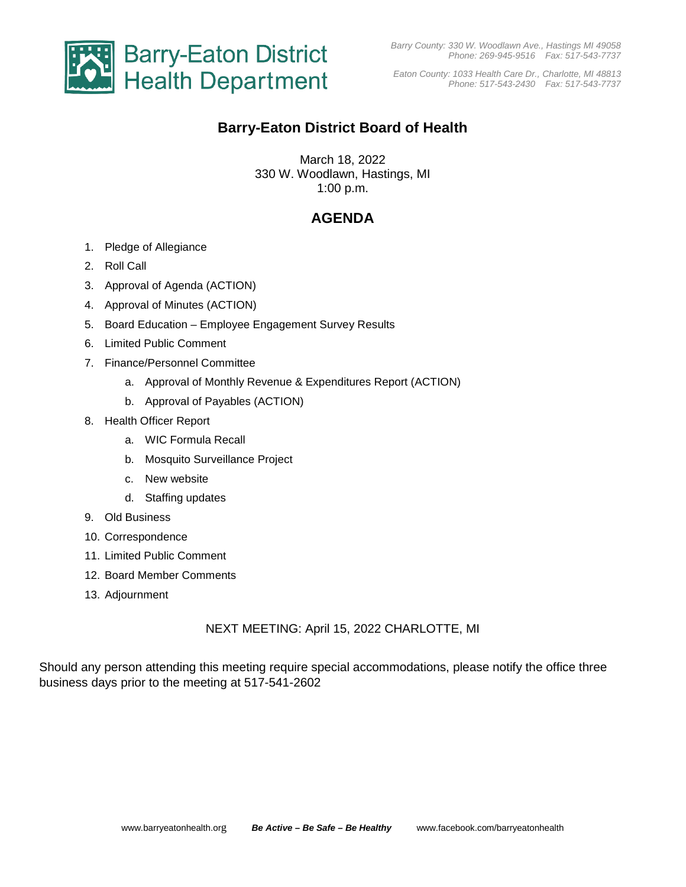

*Barry County: 330 W. Woodlawn Ave., Hastings MI 49058 Phone: 269-945-9516 Fax: 517-543-7737*

*Eaton County: 1033 Health Care Dr., Charlotte, MI 48813 Phone: 517-543-2430 Fax: 517-543-7737*

# **Barry-Eaton District Board of Health**

March 18, 2022 330 W. Woodlawn, Hastings, MI 1:00 p.m.

### **AGENDA**

- 1. Pledge of Allegiance
- 2. Roll Call
- 3. Approval of Agenda (ACTION)
- 4. Approval of Minutes (ACTION)
- 5. Board Education Employee Engagement Survey Results
- 6. Limited Public Comment
- 7. Finance/Personnel Committee
	- a. Approval of Monthly Revenue & Expenditures Report (ACTION)
	- b. Approval of Payables (ACTION)
- 8. Health Officer Report
	- a. WIC Formula Recall
	- b. Mosquito Surveillance Project
	- c. New website
	- d. Staffing updates
- 9. Old Business
- 10. Correspondence
- 11. Limited Public Comment
- 12. Board Member Comments
- 13. Adjournment

#### NEXT MEETING: April 15, 2022 CHARLOTTE, MI

Should any person attending this meeting require special accommodations, please notify the office three business days prior to the meeting at 517-541-2602